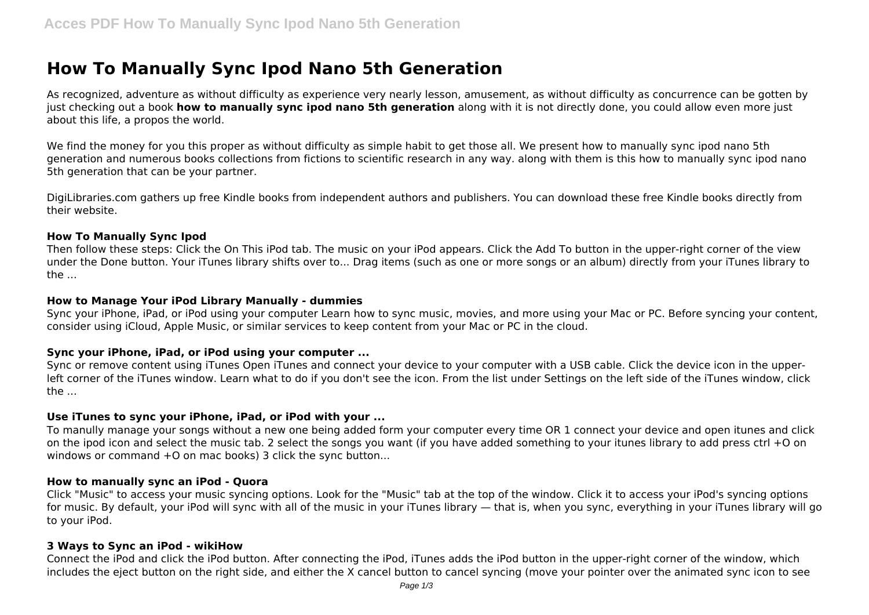# **How To Manually Sync Ipod Nano 5th Generation**

As recognized, adventure as without difficulty as experience very nearly lesson, amusement, as without difficulty as concurrence can be gotten by just checking out a book **how to manually sync ipod nano 5th generation** along with it is not directly done, you could allow even more just about this life, a propos the world.

We find the money for you this proper as without difficulty as simple habit to get those all. We present how to manually sync ipod nano 5th generation and numerous books collections from fictions to scientific research in any way. along with them is this how to manually sync ipod nano 5th generation that can be your partner.

DigiLibraries.com gathers up free Kindle books from independent authors and publishers. You can download these free Kindle books directly from their website.

#### **How To Manually Sync Ipod**

Then follow these steps: Click the On This iPod tab. The music on your iPod appears. Click the Add To button in the upper-right corner of the view under the Done button. Your iTunes library shifts over to... Drag items (such as one or more songs or an album) directly from your iTunes library to the ...

#### **How to Manage Your iPod Library Manually - dummies**

Sync your iPhone, iPad, or iPod using your computer Learn how to sync music, movies, and more using your Mac or PC. Before syncing your content, consider using iCloud, Apple Music, or similar services to keep content from your Mac or PC in the cloud.

## **Sync your iPhone, iPad, or iPod using your computer ...**

Sync or remove content using iTunes Open iTunes and connect your device to your computer with a USB cable. Click the device icon in the upperleft corner of the iTunes window. Learn what to do if you don't see the icon. From the list under Settings on the left side of the iTunes window, click  $the...$ 

## **Use iTunes to sync your iPhone, iPad, or iPod with your ...**

To manully manage your songs without a new one being added form your computer every time OR 1 connect your device and open itunes and click on the ipod icon and select the music tab. 2 select the songs you want (if you have added something to your itunes library to add press ctrl +O on windows or command +O on mac books) 3 click the sync button...

## **How to manually sync an iPod - Quora**

Click "Music" to access your music syncing options. Look for the "Music" tab at the top of the window. Click it to access your iPod's syncing options for music. By default, your iPod will sync with all of the music in your iTunes library — that is, when you sync, everything in your iTunes library will go to your iPod.

## **3 Ways to Sync an iPod - wikiHow**

Connect the iPod and click the iPod button. After connecting the iPod, iTunes adds the iPod button in the upper-right corner of the window, which includes the eject button on the right side, and either the X cancel button to cancel syncing (move your pointer over the animated sync icon to see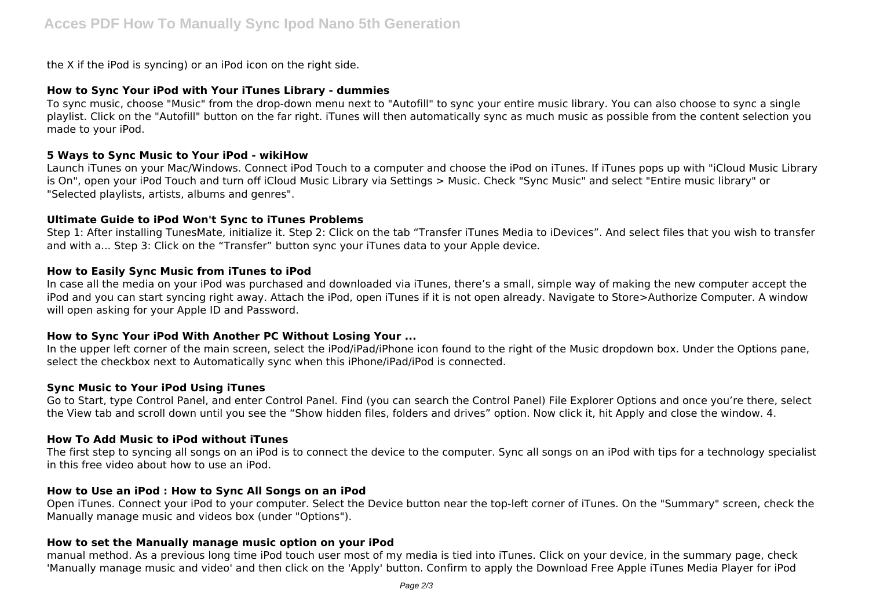the X if the iPod is syncing) or an iPod icon on the right side.

## **How to Sync Your iPod with Your iTunes Library - dummies**

To sync music, choose "Music" from the drop-down menu next to "Autofill" to sync your entire music library. You can also choose to sync a single playlist. Click on the "Autofill" button on the far right. iTunes will then automatically sync as much music as possible from the content selection you made to your iPod.

## **5 Ways to Sync Music to Your iPod - wikiHow**

Launch iTunes on your Mac/Windows. Connect iPod Touch to a computer and choose the iPod on iTunes. If iTunes pops up with "iCloud Music Library is On", open your iPod Touch and turn off iCloud Music Library via Settings > Music. Check "Sync Music" and select "Entire music library" or "Selected playlists, artists, albums and genres".

## **Ultimate Guide to iPod Won't Sync to iTunes Problems**

Step 1: After installing TunesMate, initialize it. Step 2: Click on the tab "Transfer iTunes Media to iDevices". And select files that you wish to transfer and with a... Step 3: Click on the "Transfer" button sync your iTunes data to your Apple device.

## **How to Easily Sync Music from iTunes to iPod**

In case all the media on your iPod was purchased and downloaded via iTunes, there's a small, simple way of making the new computer accept the iPod and you can start syncing right away. Attach the iPod, open iTunes if it is not open already. Navigate to Store>Authorize Computer. A window will open asking for your Apple ID and Password.

# **How to Sync Your iPod With Another PC Without Losing Your ...**

In the upper left corner of the main screen, select the iPod/iPad/iPhone icon found to the right of the Music dropdown box. Under the Options pane, select the checkbox next to Automatically sync when this iPhone/iPad/iPod is connected.

# **Sync Music to Your iPod Using iTunes**

Go to Start, type Control Panel, and enter Control Panel. Find (you can search the Control Panel) File Explorer Options and once you're there, select the View tab and scroll down until you see the "Show hidden files, folders and drives" option. Now click it, hit Apply and close the window. 4.

# **How To Add Music to iPod without iTunes**

The first step to syncing all songs on an iPod is to connect the device to the computer. Sync all songs on an iPod with tips for a technology specialist in this free video about how to use an iPod.

## **How to Use an iPod : How to Sync All Songs on an iPod**

Open iTunes. Connect your iPod to your computer. Select the Device button near the top-left corner of iTunes. On the "Summary" screen, check the Manually manage music and videos box (under "Options").

## **How to set the Manually manage music option on your iPod**

manual method. As a previous long time iPod touch user most of my media is tied into iTunes. Click on your device, in the summary page, check 'Manually manage music and video' and then click on the 'Apply' button. Confirm to apply the Download Free Apple iTunes Media Player for iPod